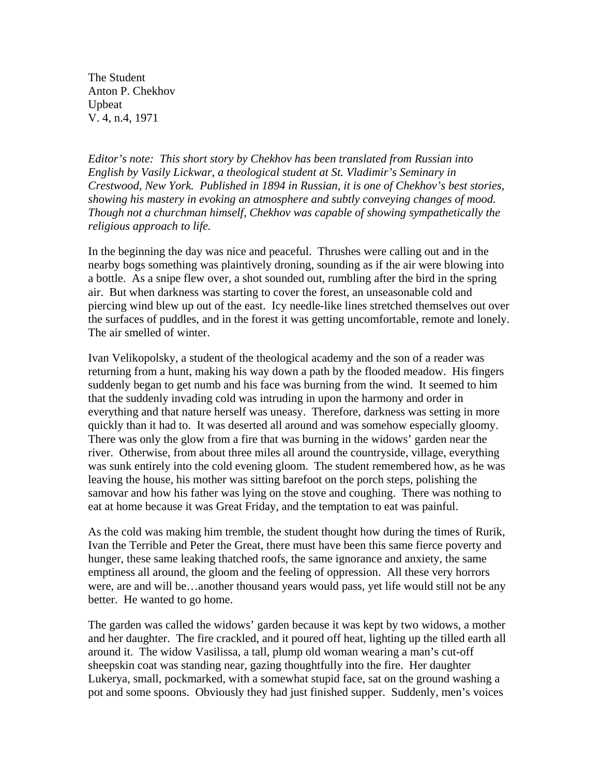The Student Anton P. Chekhov Upbeat V. 4, n.4, 1971

*Editor's note: This short story by Chekhov has been translated from Russian into English by Vasily Lickwar, a theological student at St. Vladimir's Seminary in Crestwood, New York. Published in 1894 in Russian, it is one of Chekhov's best stories, showing his mastery in evoking an atmosphere and subtly conveying changes of mood. Though not a churchman himself, Chekhov was capable of showing sympathetically the religious approach to life.* 

In the beginning the day was nice and peaceful. Thrushes were calling out and in the nearby bogs something was plaintively droning, sounding as if the air were blowing into a bottle. As a snipe flew over, a shot sounded out, rumbling after the bird in the spring air. But when darkness was starting to cover the forest, an unseasonable cold and piercing wind blew up out of the east. Icy needle-like lines stretched themselves out over the surfaces of puddles, and in the forest it was getting uncomfortable, remote and lonely. The air smelled of winter.

Ivan Velikopolsky, a student of the theological academy and the son of a reader was returning from a hunt, making his way down a path by the flooded meadow. His fingers suddenly began to get numb and his face was burning from the wind. It seemed to him that the suddenly invading cold was intruding in upon the harmony and order in everything and that nature herself was uneasy. Therefore, darkness was setting in more quickly than it had to. It was deserted all around and was somehow especially gloomy. There was only the glow from a fire that was burning in the widows' garden near the river. Otherwise, from about three miles all around the countryside, village, everything was sunk entirely into the cold evening gloom. The student remembered how, as he was leaving the house, his mother was sitting barefoot on the porch steps, polishing the samovar and how his father was lying on the stove and coughing. There was nothing to eat at home because it was Great Friday, and the temptation to eat was painful.

As the cold was making him tremble, the student thought how during the times of Rurik, Ivan the Terrible and Peter the Great, there must have been this same fierce poverty and hunger, these same leaking thatched roofs, the same ignorance and anxiety, the same emptiness all around, the gloom and the feeling of oppression. All these very horrors were, are and will be…another thousand years would pass, yet life would still not be any better. He wanted to go home.

The garden was called the widows' garden because it was kept by two widows, a mother and her daughter. The fire crackled, and it poured off heat, lighting up the tilled earth all around it. The widow Vasilissa, a tall, plump old woman wearing a man's cut-off sheepskin coat was standing near, gazing thoughtfully into the fire. Her daughter Lukerya, small, pockmarked, with a somewhat stupid face, sat on the ground washing a pot and some spoons. Obviously they had just finished supper. Suddenly, men's voices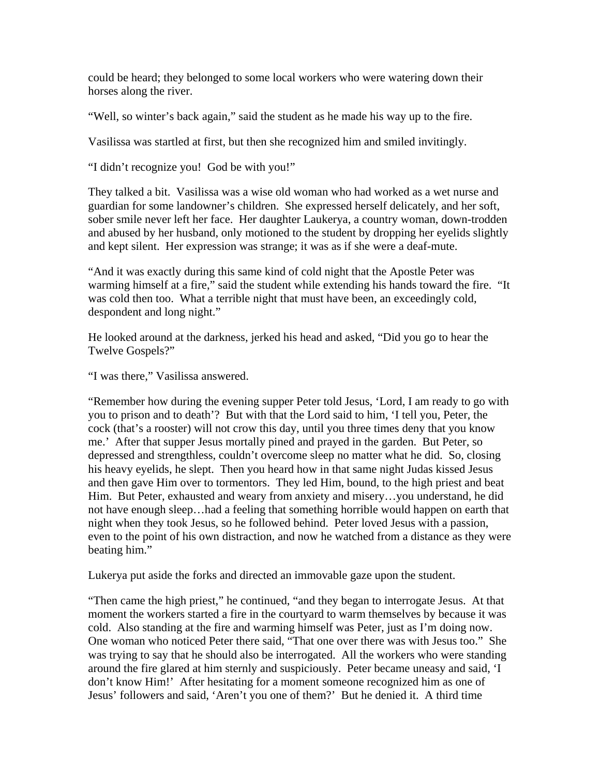could be heard; they belonged to some local workers who were watering down their horses along the river.

"Well, so winter's back again," said the student as he made his way up to the fire.

Vasilissa was startled at first, but then she recognized him and smiled invitingly.

"I didn't recognize you! God be with you!"

They talked a bit. Vasilissa was a wise old woman who had worked as a wet nurse and guardian for some landowner's children. She expressed herself delicately, and her soft, sober smile never left her face. Her daughter Laukerya, a country woman, down-trodden and abused by her husband, only motioned to the student by dropping her eyelids slightly and kept silent. Her expression was strange; it was as if she were a deaf-mute.

"And it was exactly during this same kind of cold night that the Apostle Peter was warming himself at a fire," said the student while extending his hands toward the fire. "It was cold then too. What a terrible night that must have been, an exceedingly cold, despondent and long night."

He looked around at the darkness, jerked his head and asked, "Did you go to hear the Twelve Gospels?"

"I was there," Vasilissa answered.

"Remember how during the evening supper Peter told Jesus, 'Lord, I am ready to go with you to prison and to death'? But with that the Lord said to him, 'I tell you, Peter, the cock (that's a rooster) will not crow this day, until you three times deny that you know me.' After that supper Jesus mortally pined and prayed in the garden. But Peter, so depressed and strengthless, couldn't overcome sleep no matter what he did. So, closing his heavy eyelids, he slept. Then you heard how in that same night Judas kissed Jesus and then gave Him over to tormentors. They led Him, bound, to the high priest and beat Him. But Peter, exhausted and weary from anxiety and misery…you understand, he did not have enough sleep…had a feeling that something horrible would happen on earth that night when they took Jesus, so he followed behind. Peter loved Jesus with a passion, even to the point of his own distraction, and now he watched from a distance as they were beating him."

Lukerya put aside the forks and directed an immovable gaze upon the student.

"Then came the high priest," he continued, "and they began to interrogate Jesus. At that moment the workers started a fire in the courtyard to warm themselves by because it was cold. Also standing at the fire and warming himself was Peter, just as I'm doing now. One woman who noticed Peter there said, "That one over there was with Jesus too." She was trying to say that he should also be interrogated. All the workers who were standing around the fire glared at him sternly and suspiciously. Peter became uneasy and said, 'I don't know Him!' After hesitating for a moment someone recognized him as one of Jesus' followers and said, 'Aren't you one of them?' But he denied it. A third time